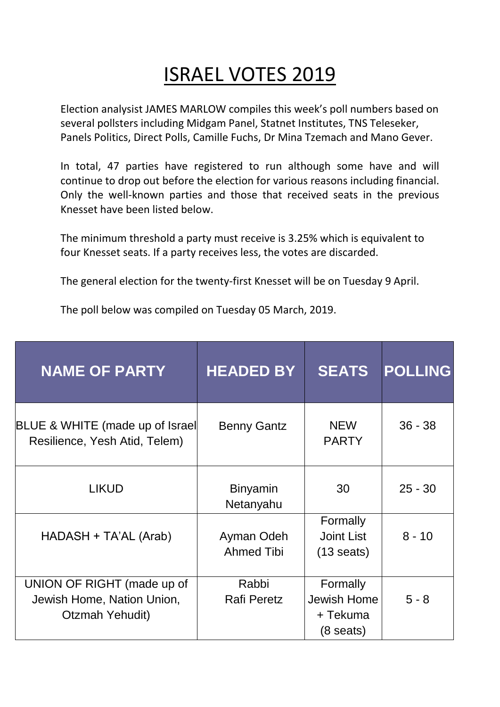## ISRAEL VOTES 2019

Election analysist JAMES MARLOW compiles this week's poll numbers based on several pollsters including Midgam Panel, Statnet Institutes, TNS Teleseker, Panels Politics, Direct Polls, Camille Fuchs, Dr Mina Tzemach and Mano Gever.

In total, 47 parties have registered to run although some have and will continue to drop out before the election for various reasons including financial. Only the well-known parties and those that received seats in the previous Knesset have been listed below.

The minimum threshold a party must receive is 3.25% which is equivalent to four Knesset seats. If a party receives less, the votes are discarded.

The general election for the twenty-first Knesset will be on Tuesday 9 April.

The poll below was compiled on Tuesday 05 March, 2019.

| <b>NAME OF PARTY</b>                                                        | <b>HEADED BY</b>                | <b>SEATS</b>                                               | <b>POLLING</b> |
|-----------------------------------------------------------------------------|---------------------------------|------------------------------------------------------------|----------------|
| BLUE & WHITE (made up of Israel<br>Resilience, Yesh Atid, Telem)            | <b>Benny Gantz</b>              | <b>NEW</b><br><b>PARTY</b>                                 | $36 - 38$      |
| <b>LIKUD</b>                                                                | <b>Binyamin</b><br>Netanyahu    | 30                                                         | $25 - 30$      |
| HADASH + TA'AL (Arab)                                                       | Ayman Odeh<br><b>Ahmed Tibi</b> | Formally<br><b>Joint List</b><br>$(13 \text{ seats})$      | $8 - 10$       |
| UNION OF RIGHT (made up of<br>Jewish Home, Nation Union,<br>Otzmah Yehudit) | Rabbi<br><b>Rafi Peretz</b>     | Formally<br>Jewish Home<br>+ Tekuma<br>$(8 \text{ seats})$ | $5 - 8$        |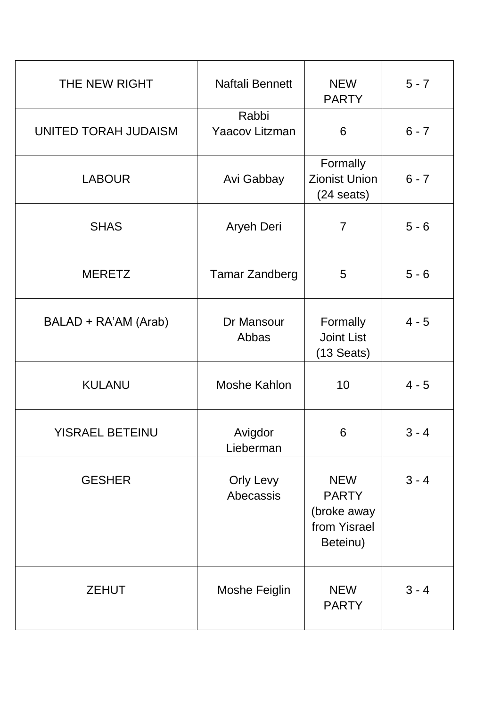| THE NEW RIGHT        | Naftali Bennett                | <b>NEW</b><br><b>PARTY</b>                                            | $5 - 7$ |
|----------------------|--------------------------------|-----------------------------------------------------------------------|---------|
| UNITED TORAH JUDAISM | Rabbi<br><b>Yaacov Litzman</b> | 6                                                                     | $6 - 7$ |
| <b>LABOUR</b>        | Avi Gabbay                     | Formally<br><b>Zionist Union</b><br>$(24$ seats)                      | $6 - 7$ |
| <b>SHAS</b>          | Aryeh Deri                     | $\overline{7}$                                                        | $5 - 6$ |
| <b>MERETZ</b>        | <b>Tamar Zandberg</b>          | 5                                                                     | $5 - 6$ |
| BALAD + RA'AM (Arab) | Dr Mansour<br>Abbas            | Formally<br><b>Joint List</b><br>$(13$ Seats)                         | $4 - 5$ |
| <b>KULANU</b>        | <b>Moshe Kahlon</b>            | 10                                                                    | $4 - 5$ |
| YISRAEL BETEINU      | Avigdor<br>Lieberman           | 6                                                                     | $3 - 4$ |
| <b>GESHER</b>        | Orly Levy<br>Abecassis         | <b>NEW</b><br><b>PARTY</b><br>(broke away<br>from Yisrael<br>Beteinu) | $3 - 4$ |
| <b>ZEHUT</b>         | <b>Moshe Feiglin</b>           | <b>NEW</b><br><b>PARTY</b>                                            | $3 - 4$ |